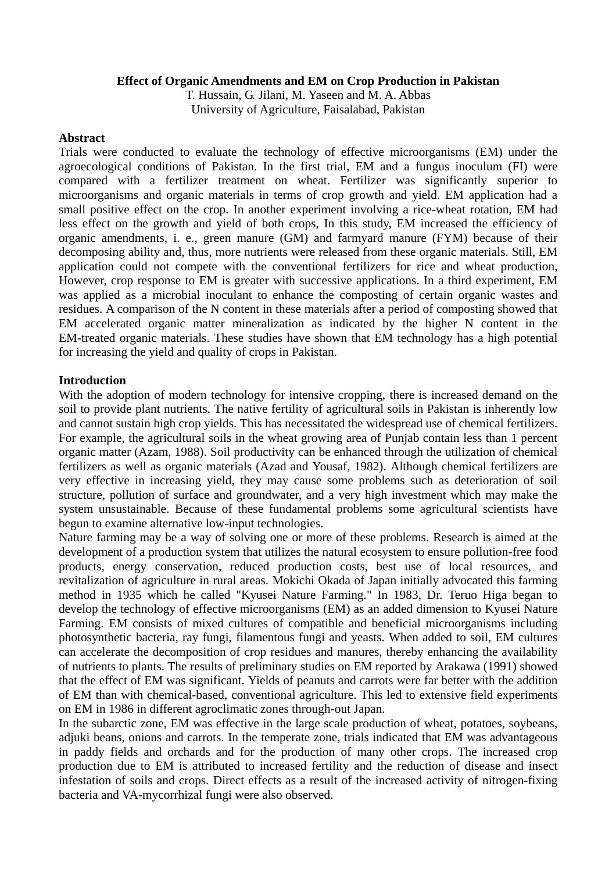### **Effect of Organic Amendments and EM on Crop Production in Pakistan**

T. Hussain, G. Jilani, M. Yaseen and M. A. Abbas University of Agriculture, Faisalabad, Pakistan

### **Abstract**

Trials were conducted to evaluate the technology of effective microorganisms (EM) under the agroecological conditions of Pakistan. In the first trial, EM and a fungus inoculum (FI) were compared with a fertilizer treatment on wheat. Fertilizer was significantly superior to microorganisms and organic materials in terms of crop growth and yield. EM application had a small positive effect on the crop. In another experiment involving a rice-wheat rotation, EM had less effect on the growth and yield of both crops, In this study, EM increased the efficiency of organic amendments, i. e., green manure (GM) and farmyard manure (FYM) because of their decomposing ability and, thus, more nutrients were released from these organic materials. Still, EM application could not compete with the conventional fertilizers for rice and wheat production, However, crop response to EM is greater with successive applications. In a third experiment, EM was applied as a microbial inoculant to enhance the composting of certain organic wastes and residues. A comparison of the N content in these materials after a period of composting showed that EM accelerated organic matter mineralization as indicated by the higher N content in the EM-treated organic materials. These studies have shown that EM technology has a high potential for increasing the yield and quality of crops in Pakistan.

### **Introduction**

With the adoption of modern technology for intensive cropping, there is increased demand on the soil to provide plant nutrients. The native fertility of agricultural soils in Pakistan is inherently low and cannot sustain high crop yields. This has necessitated the widespread use of chemical fertilizers. For example, the agricultural soils in the wheat growing area of Punjab contain less than 1 percent organic matter (Azam, 1988). Soil productivity can be enhanced through the utilization of chemical fertilizers as well as organic materials (Azad and Yousaf, 1982). Although chemical fertilizers are very effective in increasing yield, they may cause some problems such as deterioration of soil structure, pollution of surface and groundwater, and a very high investment which may make the system unsustainable. Because of these fundamental problems some agricultural scientists have begun to examine alternative low-input technologies.

Nature farming may be a way of solving one or more of these problems. Research is aimed at the development of a production system that utilizes the natural ecosystem to ensure pollution-free food products, energy conservation, reduced production costs, best use of local resources, and revitalization of agriculture in rural areas. Mokichi Okada of Japan initially advocated this farming method in 1935 which he called "Kyusei Nature Farming." In 1983, Dr. Teruo Higa began to develop the technology of effective microorganisms (EM) as an added dimension to Kyusei Nature Farming. EM consists of mixed cultures of compatible and beneficial microorganisms including photosynthetic bacteria, ray fungi, filamentous fungi and yeasts. When added to soil, EM cultures can accelerate the decomposition of crop residues and manures, thereby enhancing the availability of nutrients to plants. The results of preliminary studies on EM reported by Arakawa (1991) showed that the effect of EM was significant. Yields of peanuts and carrots were far better with the addition of EM than with chemical-based, conventional agriculture. This led to extensive field experiments on EM in 1986 in different agroclimatic zones through-out Japan.

In the subarctic zone, EM was effective in the large scale production of wheat, potatoes, soybeans, adjuki beans, onions and carrots. In the temperate zone, trials indicated that EM was advantageous in paddy fields and orchards and for the production of many other crops. The increased crop production due to EM is attributed to increased fertility and the reduction of disease and insect infestation of soils and crops. Direct effects as a result of the increased activity of nitrogen-fixing bacteria and VA-mycorrhizal fungi were also observed.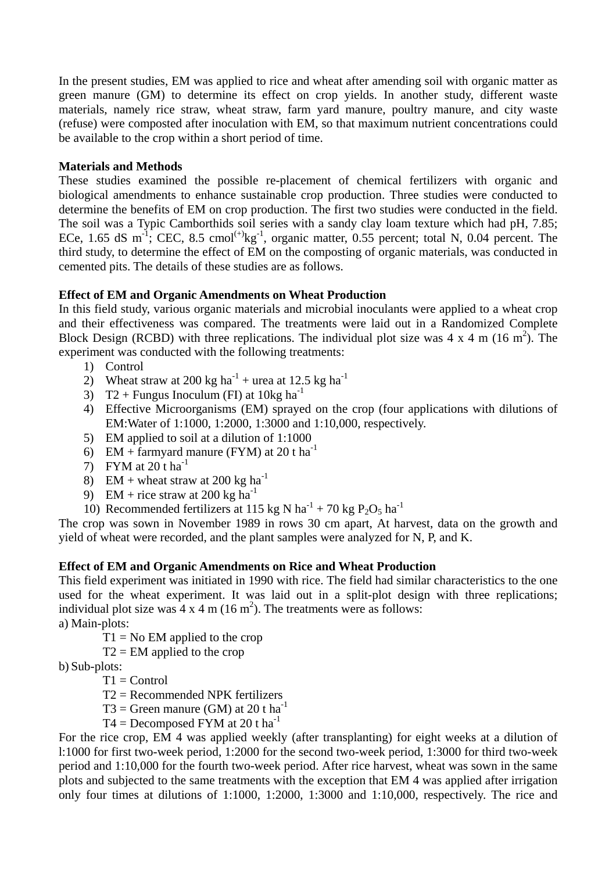In the present studies, EM was applied to rice and wheat after amending soil with organic matter as green manure (GM) to determine its effect on crop yields. In another study, different waste materials, namely rice straw, wheat straw, farm yard manure, poultry manure, and city waste (refuse) were composted after inoculation with EM, so that maximum nutrient concentrations could be available to the crop within a short period of time.

# **Materials and Methods**

These studies examined the possible re-placement of chemical fertilizers with organic and biological amendments to enhance sustainable crop production. Three studies were conducted to determine the benefits of EM on crop production. The first two studies were conducted in the field. The soil was a Typic Camborthids soil series with a sandy clay loam texture which had pH, 7.85; ECe, 1.65 dS m<sup>-1</sup>; CEC, 8.5 cmol<sup>(+)</sup>kg<sup>-1</sup>, organic matter, 0.55 percent; total N, 0.04 percent. The third study, to determine the effect of EM on the composting of organic materials, was conducted in cemented pits. The details of these studies are as follows.

# **Effect of EM and Organic Amendments on Wheat Production**

In this field study, various organic materials and microbial inoculants were applied to a wheat crop and their effectiveness was compared. The treatments were laid out in a Randomized Complete Block Design (RCBD) with three replications. The individual plot size was  $4 \times 4$  m (16 m<sup>2</sup>). The experiment was conducted with the following treatments:

- 1) Control
- 2) Wheat straw at 200 kg ha<sup>-1</sup> + urea at 12.5 kg ha<sup>-1</sup>
- 3) T2 + Fungus Inoculum (FI) at  $10kg$  ha<sup>-1</sup>
- 4) Effective Microorganisms (EM) sprayed on the crop (four applications with dilutions of EM:Water of 1:1000, 1:2000, 1:3000 and 1:10,000, respectively.
- 5) EM applied to soil at a dilution of 1:1000
- 6) EM + farmyard manure (FYM) at 20 t ha<sup>-1</sup>
- 7) FYM at  $20$  t ha<sup>-1</sup>
- 8) EM + wheat straw at 200 kg ha<sup>-1</sup>
- 9) EM + rice straw at 200 kg  $ha^{-1}$
- 10) Recommended fertilizers at 115 kg N ha<sup>-1</sup> + 70 kg P<sub>2</sub>O<sub>5</sub> ha<sup>-1</sup>

The crop was sown in November 1989 in rows 30 cm apart, At harvest, data on the growth and yield of wheat were recorded, and the plant samples were analyzed for N, P, and K.

# **Effect of EM and Organic Amendments on Rice and Wheat Production**

This field experiment was initiated in 1990 with rice. The field had similar characteristics to the one used for the wheat experiment. It was laid out in a split-plot design with three replications; individual plot size was  $4 \times 4$  m (16 m<sup>2</sup>). The treatments were as follows:

a) Main-plots:

 $T1 = No EM$  applied to the crop

 $T2 = EM$  applied to the crop

b) Sub-plots:

- $T1 =$ Control
- T2 = Recommended NPK fertilizers
- $T3 =$  Green manure (GM) at 20 t ha<sup>-1</sup>
- $T4 =$  Decomposed FYM at 20 t ha<sup>-1</sup>

For the rice crop, EM 4 was applied weekly (after transplanting) for eight weeks at a dilution of l:1000 for first two-week period, 1:2000 for the second two-week period, 1:3000 for third two-week period and 1:10,000 for the fourth two-week period. After rice harvest, wheat was sown in the same plots and subjected to the same treatments with the exception that EM 4 was applied after irrigation only four times at dilutions of 1:1000, 1:2000, 1:3000 and 1:10,000, respectively. The rice and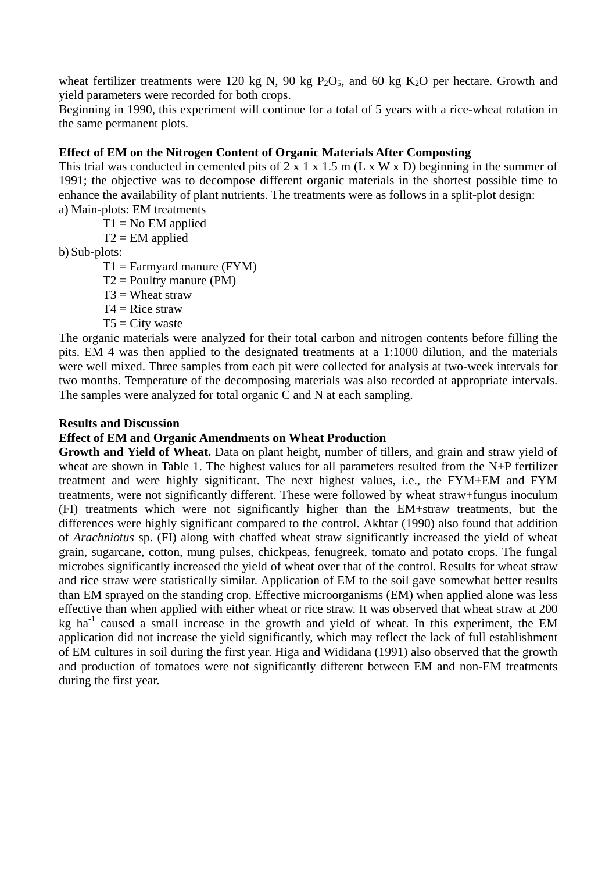wheat fertilizer treatments were 120 kg N, 90 kg  $P_2O_5$ , and 60 kg  $K_2O$  per hectare. Growth and yield parameters were recorded for both crops.

Beginning in 1990, this experiment will continue for a total of 5 years with a rice-wheat rotation in the same permanent plots.

## **Effect of EM on the Nitrogen Content of Organic Materials After Composting**

This trial was conducted in cemented pits of  $2 \times 1 \times 1.5$  m (L x W x D) beginning in the summer of 1991; the objective was to decompose different organic materials in the shortest possible time to enhance the availability of plant nutrients. The treatments were as follows in a split-plot design:

a) Main-plots: EM treatments

 $T1 = No EM$  applied

 $T2 = EM$  applied

b) Sub-plots:

- $T1 = \text{Farmyard manure (FYM)}$
- $T2 =$  Poultry manure (PM)
- $T3 =$  Wheat straw
- $T4 =$ Rice straw
- $T5 =$ City waste

The organic materials were analyzed for their total carbon and nitrogen contents before filling the pits. EM 4 was then applied to the designated treatments at a 1:1000 dilution, and the materials were well mixed. Three samples from each pit were collected for analysis at two-week intervals for two months. Temperature of the decomposing materials was also recorded at appropriate intervals. The samples were analyzed for total organic C and N at each sampling.

### **Results and Discussion**

## **Effect of EM and Organic Amendments on Wheat Production**

**Growth and Yield of Wheat.** Data on plant height, number of tillers, and grain and straw yield of wheat are shown in Table 1. The highest values for all parameters resulted from the N+P fertilizer treatment and were highly significant. The next highest values, i.e., the FYM+EM and FYM treatments, were not significantly different. These were followed by wheat straw+fungus inoculum (FI) treatments which were not significantly higher than the EM+straw treatments, but the differences were highly significant compared to the control. Akhtar (1990) also found that addition of *Arachniotus* sp. (FI) along with chaffed wheat straw significantly increased the yield of wheat grain, sugarcane, cotton, mung pulses, chickpeas, fenugreek, tomato and potato crops. The fungal microbes significantly increased the yield of wheat over that of the control. Results for wheat straw and rice straw were statistically similar. Application of EM to the soil gave somewhat better results than EM sprayed on the standing crop. Effective microorganisms (EM) when applied alone was less effective than when applied with either wheat or rice straw. It was observed that wheat straw at 200 kg ha<sup>-1</sup> caused a small increase in the growth and yield of wheat. In this experiment, the EM application did not increase the yield significantly, which may reflect the lack of full establishment of EM cultures in soil during the first year. Higa and Wididana (1991) also observed that the growth and production of tomatoes were not significantly different between EM and non-EM treatments during the first year.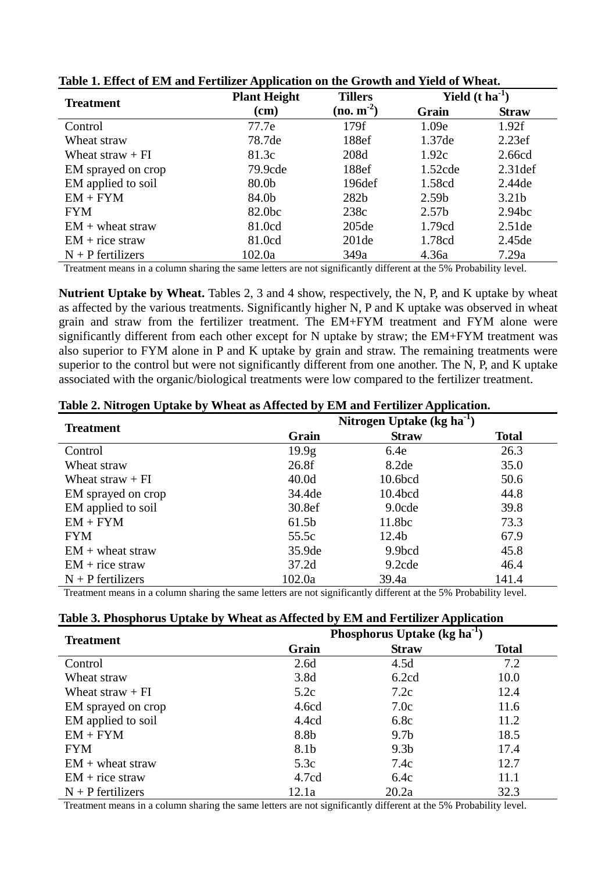| <b>Treatment</b>    | <b>Plant Height</b><br><b>Tillers</b> |                   | Yield $(t \text{ ha}^{-1})$ |                    |  |
|---------------------|---------------------------------------|-------------------|-----------------------------|--------------------|--|
|                     | $(cm)$                                | $(no. m-2)$       | Grain                       | <b>Straw</b>       |  |
| Control             | 77.7e                                 | 179f              | 1.09e                       | 1.92f              |  |
| Wheat straw         | 78.7de                                | 188ef             | 1.37de                      | 2.23ef             |  |
| Wheat straw $+FI$   | 81.3c                                 | 208d              | 1.92c                       | 2.66cd             |  |
| EM sprayed on crop  | 79.9cde                               | 188ef             | $1.52$ cde                  | $2.31$ def         |  |
| EM applied to soil  | 80.0b                                 | 196def            | 1.58cd                      | 2.44de             |  |
| $EM + FYM$          | 84.0b                                 | 282 <sub>b</sub>  | 2.59 <sub>b</sub>           | 3.21 <sub>b</sub>  |  |
| <b>FYM</b>          | 82.0bc                                | 238c              | 2.57 <sub>b</sub>           | 2.94 <sub>bc</sub> |  |
| $EM +$ wheat straw  | 81.0cd                                | 205de             | 1.79cd                      | 2.51de             |  |
| $EM + rice$ straw   | 81.0cd                                | 201 <sub>de</sub> | 1.78cd                      | 2.45de             |  |
| $N + P$ fertilizers | 102.0a                                | 349a              | 4.36a                       | 7.29a              |  |

**Table 1. Effect of EM and Fertilizer Application on the Growth and Yield of Wheat.** 

Treatment means in a column sharing the same letters are not significantly different at the 5% Probability level.

**Nutrient Uptake by Wheat.** Tables 2, 3 and 4 show, respectively, the N, P, and K uptake by wheat as affected by the various treatments. Significantly higher N, P and K uptake was observed in wheat grain and straw from the fertilizer treatment. The EM+FYM treatment and FYM alone were significantly different from each other except for N uptake by straw; the EM+FYM treatment was also superior to FYM alone in P and K uptake by grain and straw. The remaining treatments were superior to the control but were not significantly different from one another. The N, P, and K uptake associated with the organic/biological treatments were low compared to the fertilizer treatment.

| Table 2. Nitrogen Uptake by Wheat as Affected by EM and Fertilizer Application. |  |
|---------------------------------------------------------------------------------|--|
|                                                                                 |  |
|                                                                                 |  |

| <b>Treatment</b>    | Nitrogen Uptake (kg ha <sup>-1</sup> ) |                     |              |  |  |
|---------------------|----------------------------------------|---------------------|--------------|--|--|
|                     | Grain                                  | <b>Straw</b>        | <b>Total</b> |  |  |
| Control             | 19.9 <sub>g</sub>                      | 6.4e                | 26.3         |  |  |
| Wheat straw         | 26.8f                                  | 8.2de               | 35.0         |  |  |
| Wheat straw $+FI$   | 40.0 <sub>d</sub>                      | 10.6bcd             | 50.6         |  |  |
| EM sprayed on crop  | 34.4de                                 | 10.4 <sub>bcd</sub> | 44.8         |  |  |
| EM applied to soil  | 30.8ef                                 | 9.0cde              | 39.8         |  |  |
| $EM + FYM$          | 61.5 <sub>b</sub>                      | 11.8bc              | 73.3         |  |  |
| <b>FYM</b>          | 55.5c                                  | 12.4 <sub>b</sub>   | 67.9         |  |  |
| $EM +$ wheat straw  | 35.9de                                 | 9.9bcd              | 45.8         |  |  |
| $EM + rice$ straw   | 37.2d                                  | 9.2cde              | 46.4         |  |  |
| $N + P$ fertilizers | 102.0a                                 | 39.4a               | 141.4        |  |  |

Treatment means in a column sharing the same letters are not significantly different at the 5% Probability level.

|  |  | Table 3. Phosphorus Uptake by Wheat as Affected by EM and Fertilizer Application |
|--|--|----------------------------------------------------------------------------------|
|  |  |                                                                                  |

| <b>Treatment</b>    | Phosphorus Uptake (kg ha <sup>-1</sup> ) |                  |              |  |  |
|---------------------|------------------------------------------|------------------|--------------|--|--|
|                     | Grain                                    | <b>Straw</b>     | <b>Total</b> |  |  |
| Control             | 2.6d                                     | 4.5d             | 7.2          |  |  |
| Wheat straw         | 3.8d                                     | 6.2cd            | 10.0         |  |  |
| Wheat straw $+FI$   | 5.2c                                     | 7.2c             | 12.4         |  |  |
| EM sprayed on crop  | 4.6cd                                    | 7.0c             | 11.6         |  |  |
| EM applied to soil  | 4.4cd                                    | 6.8c             | 11.2         |  |  |
| $EM + FYM$          | 8.8b                                     | 9.7 <sub>b</sub> | 18.5         |  |  |
| <b>FYM</b>          | 8.1b                                     | 9.3 <sub>b</sub> | 17.4         |  |  |
| $EM +$ wheat straw  | 5.3c                                     | 7.4c             | 12.7         |  |  |
| $EM + rice$ straw   | 4.7cd                                    | 6.4c             | 11.1         |  |  |
| $N + P$ fertilizers | 12.1a                                    | 20.2a            | 32.3         |  |  |

Treatment means in a column sharing the same letters are not significantly different at the 5% Probability level.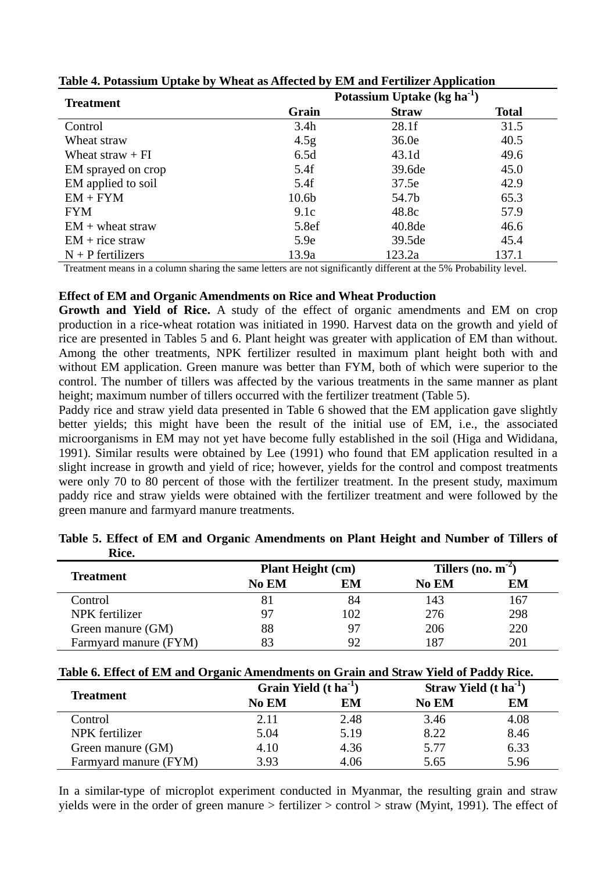| <b>Treatment</b>    | Potassium Uptake ( $kg \, ha^{-1}$ ) |              |              |  |  |
|---------------------|--------------------------------------|--------------|--------------|--|--|
|                     | Grain                                | <b>Straw</b> | <b>Total</b> |  |  |
| Control             | 3.4h                                 | 28.1f        | 31.5         |  |  |
| Wheat straw         | 4.5 <sub>g</sub>                     | 36.0e        | 40.5         |  |  |
| Wheat straw $+FI$   | 6.5d                                 | 43.1d        | 49.6         |  |  |
| EM sprayed on crop  | 5.4f                                 | 39.6de       | 45.0         |  |  |
| EM applied to soil  | 5.4f                                 | 37.5e        | 42.9         |  |  |
| $EM + FYM$          | 10.6 <sub>b</sub>                    | 54.7b        | 65.3         |  |  |
| <b>FYM</b>          | 9.1c                                 | 48.8c        | 57.9         |  |  |
| $EM +$ wheat straw  | 5.8ef                                | 40.8de       | 46.6         |  |  |
| $EM + rice$ straw   | 5.9e                                 | 39.5de       | 45.4         |  |  |
| $N + P$ fertilizers | 13.9a                                | 123.2a       | 137.1        |  |  |

**Table 4. Potassium Uptake by Wheat as Affected by EM and Fertilizer Application** 

Treatment means in a column sharing the same letters are not significantly different at the 5% Probability level.

### **Effect of EM and Organic Amendments on Rice and Wheat Production**

**Growth and Yield of Rice.** A study of the effect of organic amendments and EM on crop production in a rice-wheat rotation was initiated in 1990. Harvest data on the growth and yield of rice are presented in Tables 5 and 6. Plant height was greater with application of EM than without. Among the other treatments, NPK fertilizer resulted in maximum plant height both with and without EM application. Green manure was better than FYM, both of which were superior to the control. The number of tillers was affected by the various treatments in the same manner as plant height; maximum number of tillers occurred with the fertilizer treatment (Table 5).

Paddy rice and straw yield data presented in Table 6 showed that the EM application gave slightly better yields; this might have been the result of the initial use of EM, i.e., the associated microorganisms in EM may not yet have become fully established in the soil (Higa and Wididana, 1991). Similar results were obtained by Lee (1991) who found that EM application resulted in a slight increase in growth and yield of rice; however, yields for the control and compost treatments were only 70 to 80 percent of those with the fertilizer treatment. In the present study, maximum paddy rice and straw yields were obtained with the fertilizer treatment and were followed by the green manure and farmyard manure treatments.

| ww.                   |                          |     |                       |     |
|-----------------------|--------------------------|-----|-----------------------|-----|
|                       | <b>Plant Height (cm)</b> |     | Tillers (no. $m^{-2}$ |     |
| Treatment             | No EM                    | EМ  | <b>No EM</b>          | EМ  |
| Control               |                          | 84  | 143                   | 167 |
| NPK fertilizer        |                          | 102 | 276                   | 298 |
| Green manure (GM)     | 88                       | 97  | 206                   | 220 |
| Farmyard manure (FYM) |                          | 92  | 187                   | 201 |

**Table 5. Effect of EM and Organic Amendments on Plant Height and Number of Tillers of**   $\mathbf{B}$ :<sub>22</sub>

| Table 6. Effect of EM and Organic Amendments on Grain and Straw Yield of Paddy Rice. |
|--------------------------------------------------------------------------------------|
|--------------------------------------------------------------------------------------|

| Treatment             | Grain Yield $(t \text{ ha}^{-1})$ |      | <b>Straw Yield</b> $(t \text{ ha}^{-1})$ |      |
|-----------------------|-----------------------------------|------|------------------------------------------|------|
|                       | No EM                             | EМ   | <b>No EM</b>                             | EM   |
| Control               | 2.11                              | 2.48 | 3.46                                     | 4.08 |
| NPK fertilizer        | 5.04                              | 5.19 | 8.22                                     | 8.46 |
| Green manure (GM)     | 4.10                              | 4.36 | 5.77                                     | 6.33 |
| Farmyard manure (FYM) | 3.93                              | 4.06 | 5.65                                     | 5.96 |

In a similar-type of microplot experiment conducted in Myanmar, the resulting grain and straw yields were in the order of green manure > fertilizer > control > straw (Myint, 1991). The effect of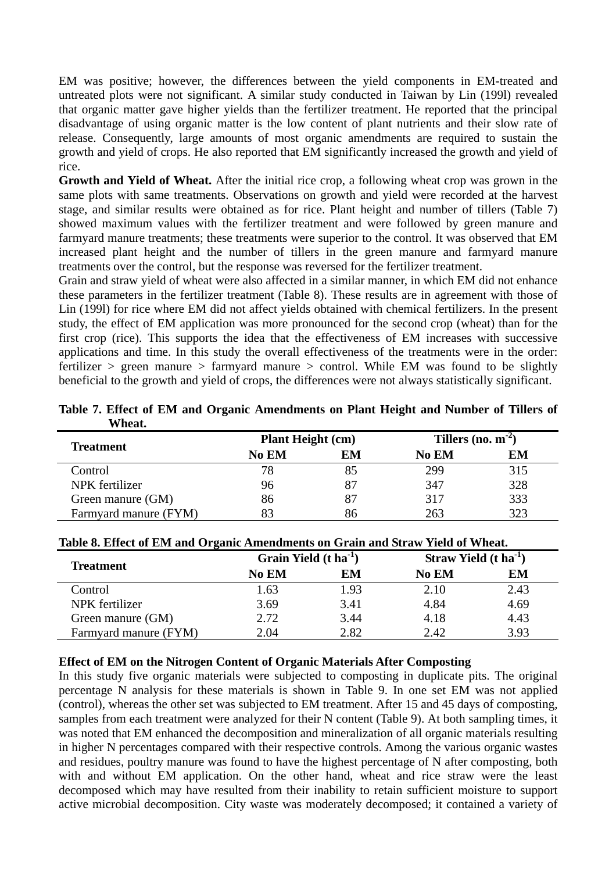EM was positive; however, the differences between the yield components in EM-treated and untreated plots were not significant. A similar study conducted in Taiwan by Lin (199l) revealed that organic matter gave higher yields than the fertilizer treatment. He reported that the principal disadvantage of using organic matter is the low content of plant nutrients and their slow rate of release. Consequently, large amounts of most organic amendments are required to sustain the growth and yield of crops. He also reported that EM significantly increased the growth and yield of rice.

**Growth and Yield of Wheat.** After the initial rice crop, a following wheat crop was grown in the same plots with same treatments. Observations on growth and yield were recorded at the harvest stage, and similar results were obtained as for rice. Plant height and number of tillers (Table 7) showed maximum values with the fertilizer treatment and were followed by green manure and farmyard manure treatments; these treatments were superior to the control. It was observed that EM increased plant height and the number of tillers in the green manure and farmyard manure treatments over the control, but the response was reversed for the fertilizer treatment.

Grain and straw yield of wheat were also affected in a similar manner, in which EM did not enhance these parameters in the fertilizer treatment (Table 8). These results are in agreement with those of Lin (199l) for rice where EM did not affect yields obtained with chemical fertilizers. In the present study, the effect of EM application was more pronounced for the second crop (wheat) than for the first crop (rice). This supports the idea that the effectiveness of EM increases with successive applications and time. In this study the overall effectiveness of the treatments were in the order: fertilizer  $>$  green manure  $>$  farmyard manure  $>$  control. While EM was found to be slightly beneficial to the growth and yield of crops, the differences were not always statistically significant.

| vv neat.              |                          |    |                         |     |
|-----------------------|--------------------------|----|-------------------------|-----|
|                       | <b>Plant Height (cm)</b> |    | Tillers (no. $m^{-2}$ ) |     |
| <b>Treatment</b>      | No EM                    | EM | No EM                   | EM  |
| Control               | 78                       | 85 | 299                     | 315 |
| NPK fertilizer        | 96                       |    | 347                     | 328 |
| Green manure (GM)     | 86                       | 87 | 317                     | 333 |
| Farmyard manure (FYM) |                          | 86 | 263                     | 323 |

**Table 7. Effect of EM and Organic Amendments on Plant Height and Number of Tillers of Wheat** 

| Table 6. Effect of E.M. and Organic Amendments on Gram and Straw Tield of Wheat. |                                   |      |                                          |      |  |
|----------------------------------------------------------------------------------|-----------------------------------|------|------------------------------------------|------|--|
| <b>Treatment</b>                                                                 | Grain Yield $(t \text{ ha}^{-1})$ |      | <b>Straw Yield</b> $(t \text{ ha}^{-1})$ |      |  |
|                                                                                  | No EM                             | EМ   | <b>No EM</b>                             | EM   |  |
| Control                                                                          | 1.63                              | 1.93 | 2.10                                     | 2.43 |  |
| NPK fertilizer                                                                   | 3.69                              | 3.41 | 4.84                                     | 4.69 |  |
| Green manure (GM)                                                                | 2.72                              | 3.44 | 4.18                                     | 4.43 |  |
| Farmyard manure (FYM)                                                            | 2.04                              | 2.82 | 2.42                                     | 3.93 |  |

### **Table 8. Effect of EM and Organic Amendments on Grain and Straw Yield of Wheat.**

# **Effect of EM on the Nitrogen Content of Organic Materials After Composting**

In this study five organic materials were subjected to composting in duplicate pits. The original percentage N analysis for these materials is shown in Table 9. In one set EM was not applied (control), whereas the other set was subjected to EM treatment. After 15 and 45 days of composting, samples from each treatment were analyzed for their N content (Table 9). At both sampling times, it was noted that EM enhanced the decomposition and mineralization of all organic materials resulting in higher N percentages compared with their respective controls. Among the various organic wastes and residues, poultry manure was found to have the highest percentage of N after composting, both with and without EM application. On the other hand, wheat and rice straw were the least decomposed which may have resulted from their inability to retain sufficient moisture to support active microbial decomposition. City waste was moderately decomposed; it contained a variety of